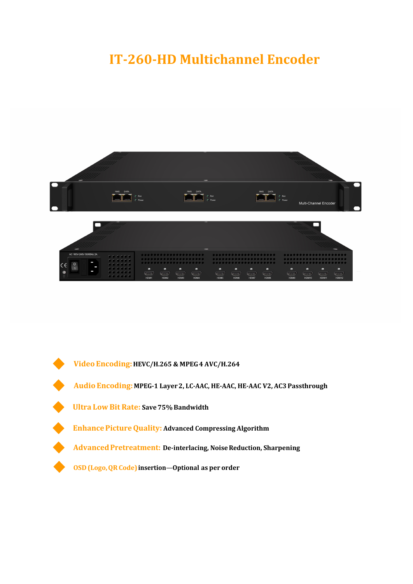## **IT-260-HD Multichannel Encoder**